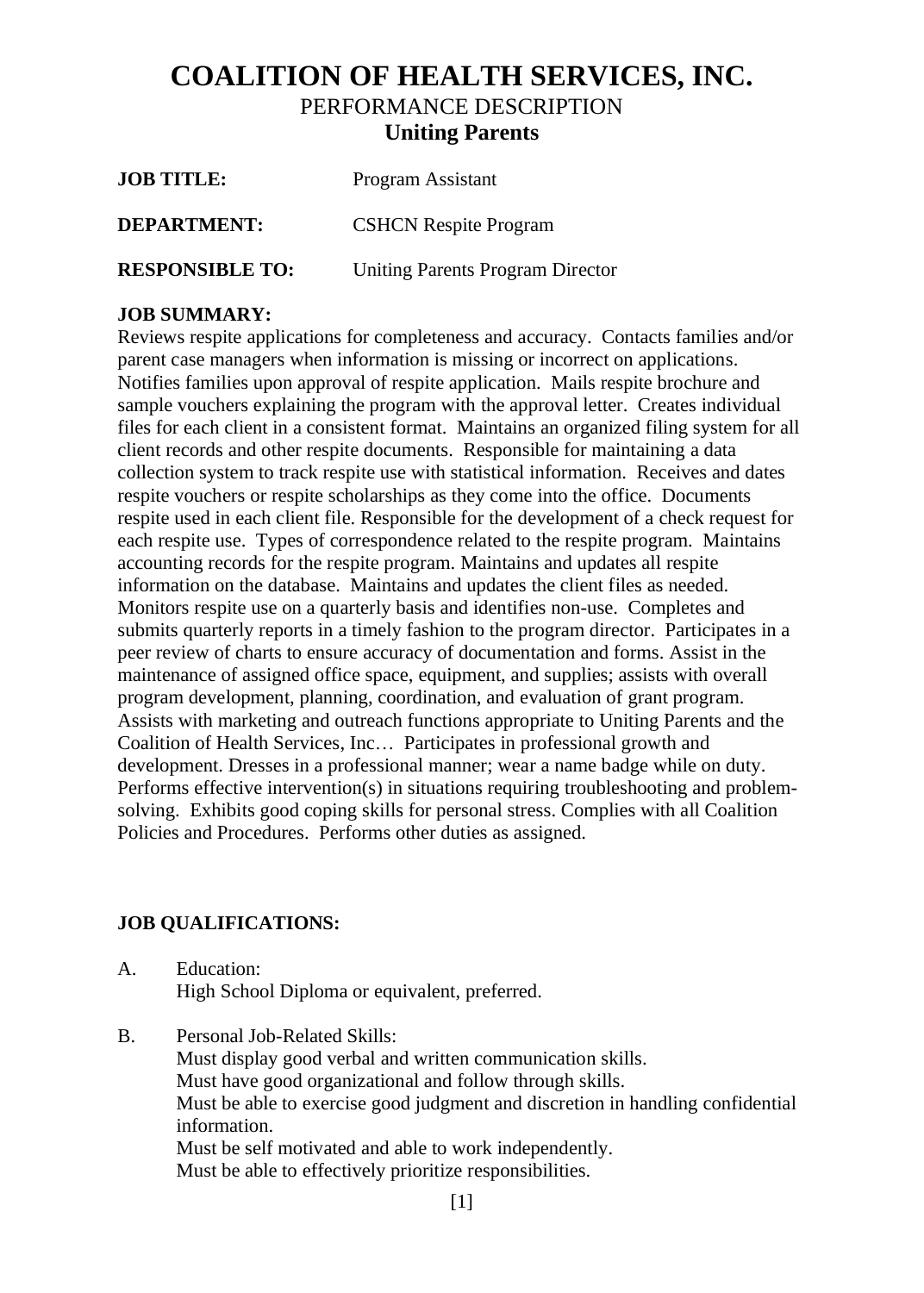## **COALITION OF HEALTH SERVICES, INC.** PERFORMANCE DESCRIPTION **Uniting Parents**

| <b>JOB TITLE:</b>      | Program Assistant                       |
|------------------------|-----------------------------------------|
| <b>DEPARTMENT:</b>     | <b>CSHCN Respite Program</b>            |
| <b>RESPONSIBLE TO:</b> | <b>Uniting Parents Program Director</b> |

## **JOB SUMMARY:**

Reviews respite applications for completeness and accuracy. Contacts families and/or parent case managers when information is missing or incorrect on applications. Notifies families upon approval of respite application. Mails respite brochure and sample vouchers explaining the program with the approval letter. Creates individual files for each client in a consistent format. Maintains an organized filing system for all client records and other respite documents. Responsible for maintaining a data collection system to track respite use with statistical information. Receives and dates respite vouchers or respite scholarships as they come into the office. Documents respite used in each client file. Responsible for the development of a check request for each respite use. Types of correspondence related to the respite program. Maintains accounting records for the respite program. Maintains and updates all respite information on the database. Maintains and updates the client files as needed. Monitors respite use on a quarterly basis and identifies non-use. Completes and submits quarterly reports in a timely fashion to the program director. Participates in a peer review of charts to ensure accuracy of documentation and forms. Assist in the maintenance of assigned office space, equipment, and supplies; assists with overall program development, planning, coordination, and evaluation of grant program. Assists with marketing and outreach functions appropriate to Uniting Parents and the Coalition of Health Services, Inc… Participates in professional growth and development. Dresses in a professional manner; wear a name badge while on duty. Performs effective intervention(s) in situations requiring troubleshooting and problemsolving. Exhibits good coping skills for personal stress. Complies with all Coalition Policies and Procedures. Performs other duties as assigned.

## **JOB QUALIFICATIONS:**

- A. Education: High School Diploma or equivalent, preferred.
- B. Personal Job-Related Skills: Must display good verbal and written communication skills. Must have good organizational and follow through skills. Must be able to exercise good judgment and discretion in handling confidential information. Must be self motivated and able to work independently. Must be able to effectively prioritize responsibilities.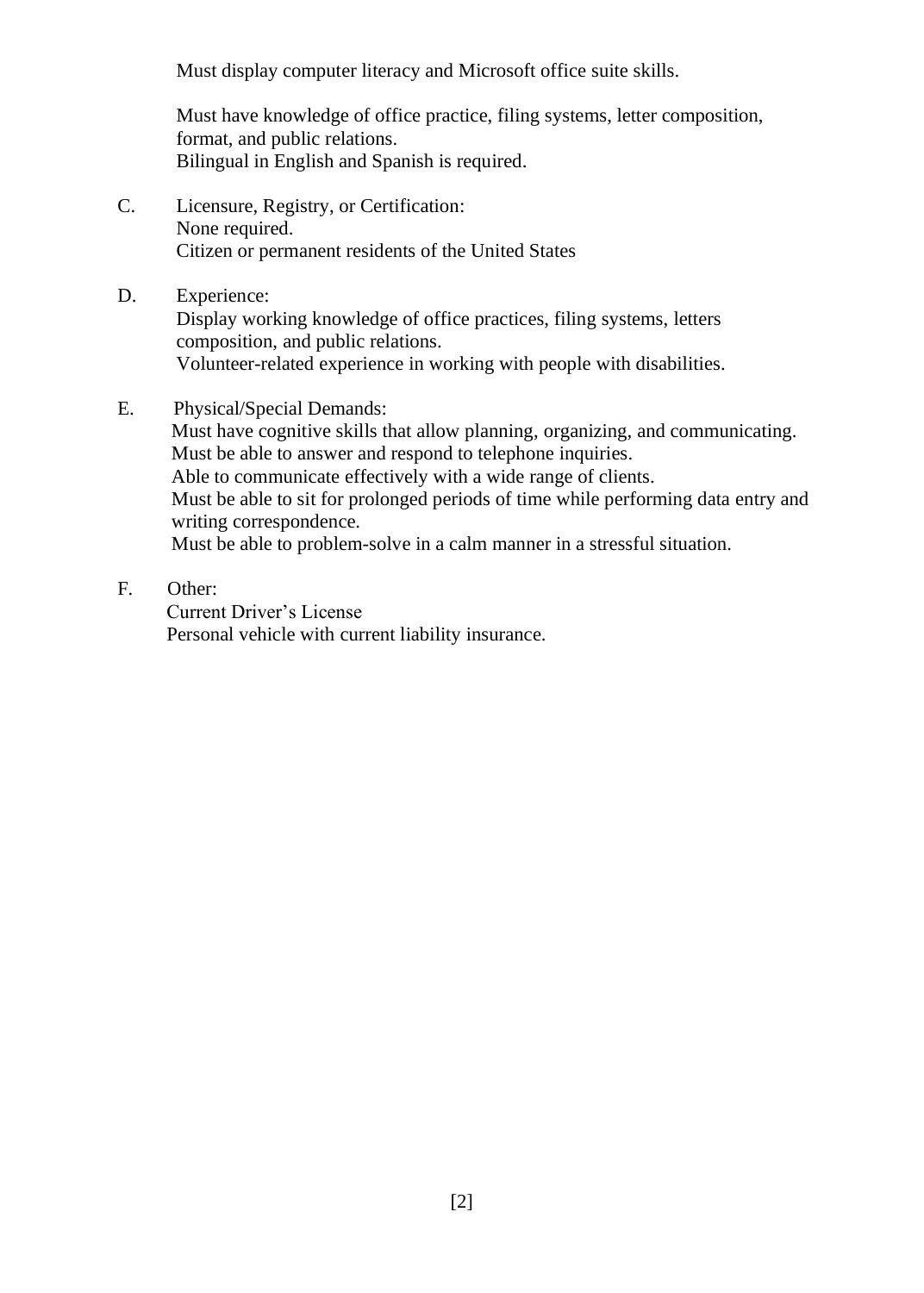Must display computer literacy and Microsoft office suite skills.

Must have knowledge of office practice, filing systems, letter composition, format, and public relations. Bilingual in English and Spanish is required.

- C. Licensure, Registry, or Certification: None required. Citizen or permanent residents of the United States
- D. Experience: Display working knowledge of office practices, filing systems, letters composition, and public relations. Volunteer-related experience in working with people with disabilities.
- E. Physical/Special Demands:

 Must have cognitive skills that allow planning, organizing, and communicating. Must be able to answer and respond to telephone inquiries. Able to communicate effectively with a wide range of clients. Must be able to sit for prolonged periods of time while performing data entry and

 writing correspondence. Must be able to problem-solve in a calm manner in a stressful situation.

F. Other:

 Current Driver's License Personal vehicle with current liability insurance.